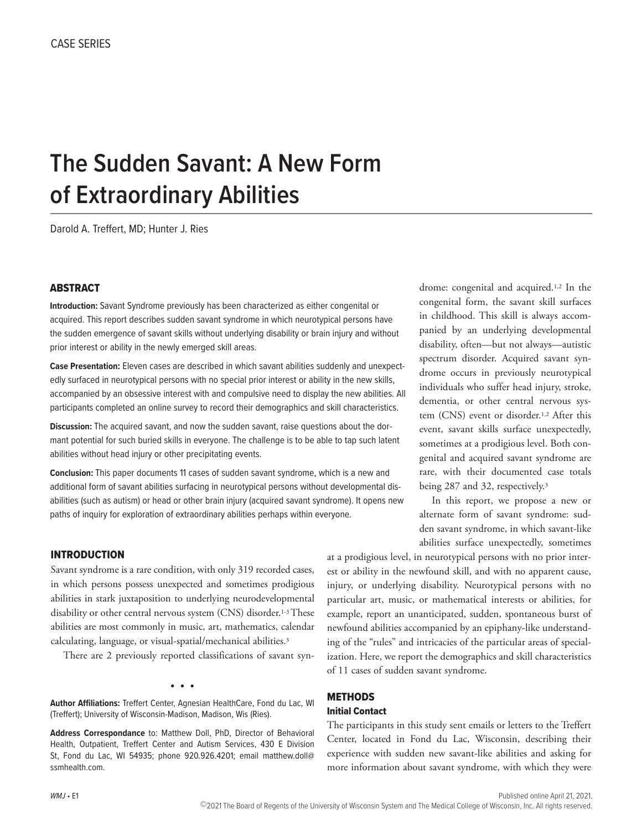# **The Sudden Savant: A New Form of Extraordinary Abilities**

Darold A. Treffert, MD; Hunter J. Ries

## **ABSTRACT**

**Introduction:** Savant Syndrome previously has been characterized as either congenital or acquired. This report describes sudden savant syndrome in which neurotypical persons have the sudden emergence of savant skills without underlying disability or brain injury and without prior interest or ability in the newly emerged skill areas.

**Case Presentation:** Eleven cases are described in which savant abilities suddenly and unexpectedly surfaced in neurotypical persons with no special prior interest or ability in the new skills, accompanied by an obsessive interest with and compulsive need to display the new abilities. All participants completed an online survey to record their demographics and skill characteristics.

**Discussion:** The acquired savant, and now the sudden savant, raise questions about the dormant potential for such buried skills in everyone. The challenge is to be able to tap such latent abilities without head injury or other precipitating events.

**Conclusion:** This paper documents 11 cases of sudden savant syndrome, which is a new and additional form of savant abilities surfacing in neurotypical persons without developmental disabilities (such as autism) or head or other brain injury (acquired savant syndrome). It opens new paths of inquiry for exploration of extraordinary abilities perhaps within everyone.

# INTRODUCTION

Savant syndrome is a rare condition, with only 319 recorded cases, in which persons possess unexpected and sometimes prodigious abilities in stark juxtaposition to underlying neurodevelopmental disability or other central nervous system (CNS) disorder.1-3 These abilities are most commonly in music, art, mathematics, calendar calculating, language, or visual-spatial/mechanical abilities.3

There are 2 previously reported classifications of savant syn-

• • •

**Author Affiliations:** Treffert Center, Agnesian HealthCare, Fond du Lac, WI (Treffert); University of Wisconsin-Madison, Madison, Wis (Ries).

**Address Correspondance** to: Matthew Doll, PhD, Director of Behavioral Health, Outpatient, Treffert Center and Autism Services, 430 E Division St, Fond du Lac, WI 54935; phone 920.926.4201; email matthew.doll@ ssmhealth.com.

drome: congenital and acquired.1,2 In the congenital form, the savant skill surfaces in childhood. This skill is always accompanied by an underlying developmental disability, often—but not always—autistic spectrum disorder. Acquired savant syndrome occurs in previously neurotypical individuals who suffer head injury, stroke, dementia, or other central nervous system (CNS) event or disorder.1,2 After this event, savant skills surface unexpectedly, sometimes at a prodigious level. Both congenital and acquired savant syndrome are rare, with their documented case totals being 287 and 32, respectively.3

In this report, we propose a new or alternate form of savant syndrome: sudden savant syndrome, in which savant-like abilities surface unexpectedly, sometimes

at a prodigious level, in neurotypical persons with no prior interest or ability in the newfound skill, and with no apparent cause, injury, or underlying disability. Neurotypical persons with no particular art, music, or mathematical interests or abilities, for example, report an unanticipated, sudden, spontaneous burst of newfound abilities accompanied by an epiphany-like understanding of the "rules" and intricacies of the particular areas of specialization. Here, we report the demographics and skill characteristics of 11 cases of sudden savant syndrome.

# METHODS

#### Initial Contact

The participants in this study sent emails or letters to the Treffert Center, located in Fond du Lac, Wisconsin, describing their experience with sudden new savant-like abilities and asking for more information about savant syndrome, with which they were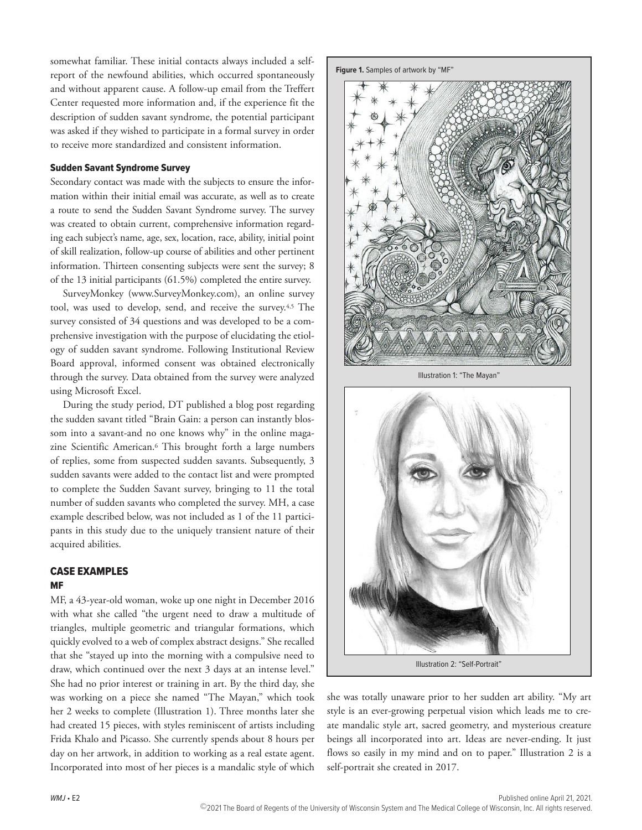somewhat familiar. These initial contacts always included a selfreport of the newfound abilities, which occurred spontaneously and without apparent cause. A follow-up email from the Treffert Center requested more information and, if the experience fit the description of sudden savant syndrome, the potential participant was asked if they wished to participate in a formal survey in order to receive more standardized and consistent information.

#### Sudden Savant Syndrome Survey

Secondary contact was made with the subjects to ensure the information within their initial email was accurate, as well as to create a route to send the Sudden Savant Syndrome survey. The survey was created to obtain current, comprehensive information regarding each subject's name, age, sex, location, race, ability, initial point of skill realization, follow-up course of abilities and other pertinent information. Thirteen consenting subjects were sent the survey; 8 of the 13 initial participants (61.5%) completed the entire survey.

SurveyMonkey (www.SurveyMonkey.com), an online survey tool, was used to develop, send, and receive the survey.4,5 The survey consisted of 34 questions and was developed to be a comprehensive investigation with the purpose of elucidating the etiology of sudden savant syndrome. Following Institutional Review Board approval, informed consent was obtained electronically through the survey. Data obtained from the survey were analyzed using Microsoft Excel.

During the study period, DT published a blog post regarding the sudden savant titled "Brain Gain: a person can instantly blossom into a savant-and no one knows why" in the online magazine Scientific American.6 This brought forth a large numbers of replies, some from suspected sudden savants. Subsequently, 3 sudden savants were added to the contact list and were prompted to complete the Sudden Savant survey, bringing to 11 the total number of sudden savants who completed the survey. MH, a case example described below, was not included as 1 of the 11 participants in this study due to the uniquely transient nature of their acquired abilities.

# CASE EXAMPLES

#### MF

MF, a 43-year-old woman, woke up one night in December 2016 with what she called "the urgent need to draw a multitude of triangles, multiple geometric and triangular formations, which quickly evolved to a web of complex abstract designs." She recalled that she "stayed up into the morning with a compulsive need to draw, which continued over the next 3 days at an intense level." She had no prior interest or training in art. By the third day, she was working on a piece she named "The Mayan," which took her 2 weeks to complete (Illustration 1). Three months later she had created 15 pieces, with styles reminiscent of artists including Frida Khalo and Picasso. She currently spends about 8 hours per day on her artwork, in addition to working as a real estate agent. Incorporated into most of her pieces is a mandalic style of which





Illustration 1: "The Mayan"



she was totally unaware prior to her sudden art ability. "My art style is an ever-growing perpetual vision which leads me to create mandalic style art, sacred geometry, and mysterious creature beings all incorporated into art. Ideas are never-ending. It just flows so easily in my mind and on to paper." Illustration 2 is a self-portrait she created in 2017.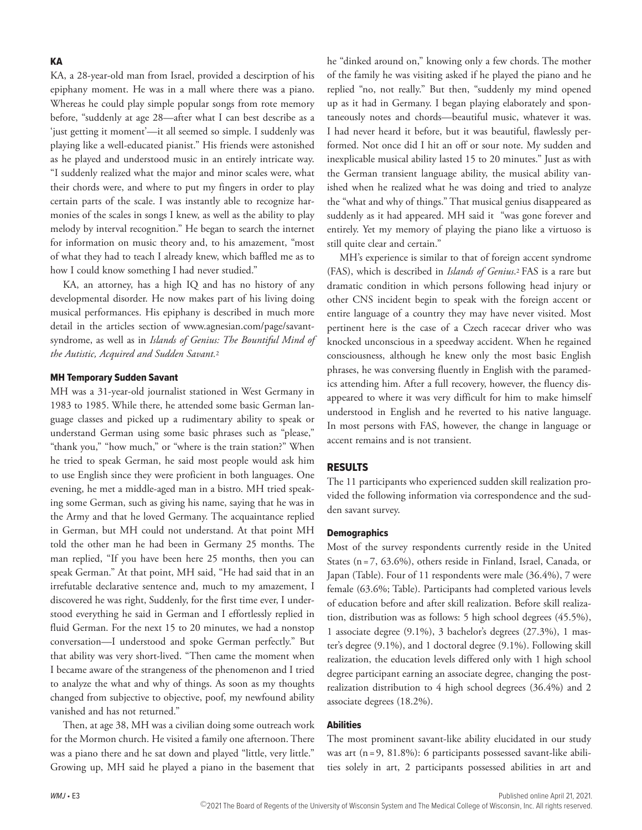KA, a 28-year-old man from Israel, provided a descirption of his epiphany moment. He was in a mall where there was a piano. Whereas he could play simple popular songs from rote memory before, "suddenly at age 28—after what I can best describe as a 'just getting it moment'—it all seemed so simple. I suddenly was playing like a well-educated pianist." His friends were astonished as he played and understood music in an entirely intricate way. "I suddenly realized what the major and minor scales were, what their chords were, and where to put my fingers in order to play certain parts of the scale. I was instantly able to recognize harmonies of the scales in songs I knew, as well as the ability to play melody by interval recognition." He began to search the internet for information on music theory and, to his amazement, "most of what they had to teach I already knew, which baffled me as to how I could know something I had never studied."

KA, an attorney, has a high IQ and has no history of any developmental disorder. He now makes part of his living doing musical performances. His epiphany is described in much more detail in the articles section of www.agnesian.com/page/savantsyndrome, as well as in *Islands of Genius: The Bountiful Mind of the Autistic, Acquired and Sudden Savant.*<sup>2</sup>

#### MH Temporary Sudden Savant

MH was a 31-year-old journalist stationed in West Germany in 1983 to 1985. While there, he attended some basic German language classes and picked up a rudimentary ability to speak or understand German using some basic phrases such as "please," "thank you," "how much," or "where is the train station?" When he tried to speak German, he said most people would ask him to use English since they were proficient in both languages. One evening, he met a middle-aged man in a bistro. MH tried speaking some German, such as giving his name, saying that he was in the Army and that he loved Germany. The acquaintance replied in German, but MH could not understand. At that point MH told the other man he had been in Germany 25 months. The man replied, "If you have been here 25 months, then you can speak German." At that point, MH said, "He had said that in an irrefutable declarative sentence and, much to my amazement, I discovered he was right, Suddenly, for the first time ever, I understood everything he said in German and I effortlessly replied in fluid German. For the next 15 to 20 minutes, we had a nonstop conversation—I understood and spoke German perfectly." But that ability was very short-lived. "Then came the moment when I became aware of the strangeness of the phenomenon and I tried to analyze the what and why of things. As soon as my thoughts changed from subjective to objective, poof, my newfound ability vanished and has not returned."

Then, at age 38, MH was a civilian doing some outreach work for the Mormon church. He visited a family one afternoon. There was a piano there and he sat down and played "little, very little." Growing up, MH said he played a piano in the basement that

he "dinked around on," knowing only a few chords. The mother of the family he was visiting asked if he played the piano and he replied "no, not really." But then, "suddenly my mind opened up as it had in Germany. I began playing elaborately and spontaneously notes and chords—beautiful music, whatever it was. I had never heard it before, but it was beautiful, flawlessly performed. Not once did I hit an off or sour note. My sudden and inexplicable musical ability lasted 15 to 20 minutes." Just as with the German transient language ability, the musical ability vanished when he realized what he was doing and tried to analyze the "what and why of things." That musical genius disappeared as suddenly as it had appeared. MH said it "was gone forever and entirely. Yet my memory of playing the piano like a virtuoso is still quite clear and certain."

MH's experience is similar to that of foreign accent syndrome (FAS), which is described in *Islands of Genius*.2 FAS is a rare but dramatic condition in which persons following head injury or other CNS incident begin to speak with the foreign accent or entire language of a country they may have never visited. Most pertinent here is the case of a Czech racecar driver who was knocked unconscious in a speedway accident. When he regained consciousness, although he knew only the most basic English phrases, he was conversing fluently in English with the paramedics attending him. After a full recovery, however, the fluency disappeared to where it was very difficult for him to make himself understood in English and he reverted to his native language. In most persons with FAS, however, the change in language or accent remains and is not transient.

# RESULTS

The 11 participants who experienced sudden skill realization provided the following information via correspondence and the sudden savant survey.

#### **Demographics**

Most of the survey respondents currently reside in the United States (n=7, 63.6%), others reside in Finland, Israel, Canada, or Japan (Table). Four of 11 respondents were male (36.4%), 7 were female (63.6%; Table). Participants had completed various levels of education before and after skill realization. Before skill realization, distribution was as follows: 5 high school degrees (45.5%), 1 associate degree (9.1%), 3 bachelor's degrees (27.3%), 1 master's degree (9.1%), and 1 doctoral degree (9.1%). Following skill realization, the education levels differed only with 1 high school degree participant earning an associate degree, changing the postrealization distribution to 4 high school degrees (36.4%) and 2 associate degrees (18.2%).

# Abilities

The most prominent savant-like ability elucidated in our study was art (n=9, 81.8%): 6 participants possessed savant-like abilities solely in art, 2 participants possessed abilities in art and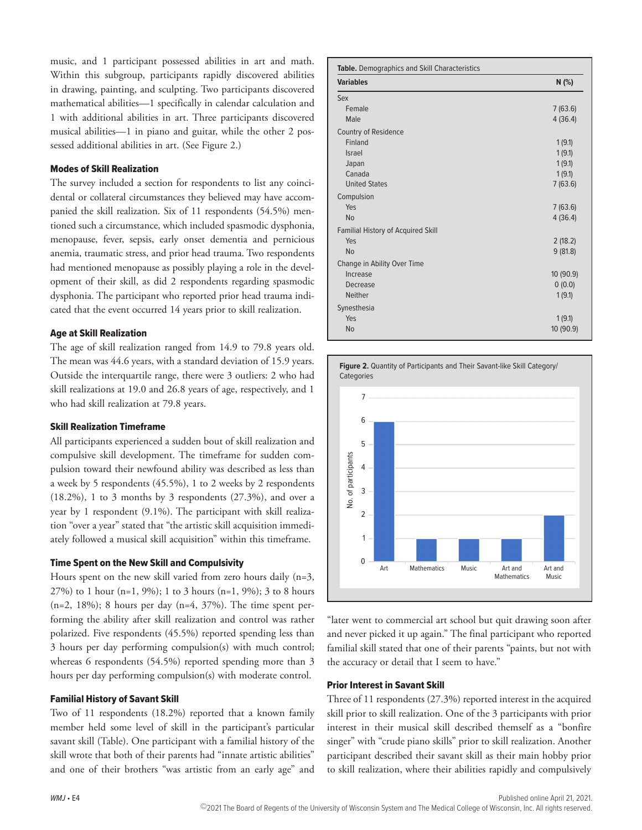music, and 1 participant possessed abilities in art and math. Within this subgroup, participants rapidly discovered abilities in drawing, painting, and sculpting. Two participants discovered mathematical abilities—1 specifically in calendar calculation and 1 with additional abilities in art. Three participants discovered musical abilities—1 in piano and guitar, while the other 2 possessed additional abilities in art. (See Figure 2.)

#### Modes of Skill Realization

The survey included a section for respondents to list any coincidental or collateral circumstances they believed may have accompanied the skill realization. Six of 11 respondents (54.5%) mentioned such a circumstance, which included spasmodic dysphonia, menopause, fever, sepsis, early onset dementia and pernicious anemia, traumatic stress, and prior head trauma. Two respondents had mentioned menopause as possibly playing a role in the development of their skill, as did 2 respondents regarding spasmodic dysphonia. The participant who reported prior head trauma indicated that the event occurred 14 years prior to skill realization.

#### Age at Skill Realization

The age of skill realization ranged from 14.9 to 79.8 years old. The mean was 44.6 years, with a standard deviation of 15.9 years. Outside the interquartile range, there were 3 outliers: 2 who had skill realizations at 19.0 and 26.8 years of age, respectively, and 1 who had skill realization at 79.8 years.

# Skill Realization Timeframe

All participants experienced a sudden bout of skill realization and compulsive skill development. The timeframe for sudden compulsion toward their newfound ability was described as less than a week by 5 respondents (45.5%), 1 to 2 weeks by 2 respondents  $(18.2\%)$ , 1 to 3 months by 3 respondents  $(27.3\%)$ , and over a year by 1 respondent (9.1%). The participant with skill realization "over a year" stated that "the artistic skill acquisition immediately followed a musical skill acquisition" within this timeframe.

#### Time Spent on the New Skill and Compulsivity

Hours spent on the new skill varied from zero hours daily (n=3, 27%) to 1 hour (n=1, 9%); 1 to 3 hours (n=1, 9%); 3 to 8 hours  $(n=2, 18\%)$ ; 8 hours per day  $(n=4, 37\%)$ . The time spent performing the ability after skill realization and control was rather polarized. Five respondents (45.5%) reported spending less than 3 hours per day performing compulsion(s) with much control; whereas 6 respondents (54.5%) reported spending more than 3 hours per day performing compulsion(s) with moderate control.

#### Familial History of Savant Skill

Two of 11 respondents (18.2%) reported that a known family member held some level of skill in the participant's particular savant skill (Table). One participant with a familial history of the skill wrote that both of their parents had "innate artistic abilities" and one of their brothers "was artistic from an early age" and

| <b>Variables</b>                          | N(%)      |
|-------------------------------------------|-----------|
| Sex                                       |           |
| Female                                    | 7(63.6)   |
| Male                                      | 4(36.4)   |
| Country of Residence                      |           |
| Finland                                   | 1(9.1)    |
| <b>Israel</b>                             | 1(9.1)    |
| Japan                                     | 1(9.1)    |
| Canada                                    | 1(9.1)    |
| <b>United States</b>                      | 7(63.6)   |
| Compulsion                                |           |
| Yes                                       | 7(63.6)   |
| <b>No</b>                                 | 4(36.4)   |
| <b>Familial History of Acquired Skill</b> |           |
| Yes                                       | 2(18.2)   |
| <b>No</b>                                 | 9(81.8)   |
| Change in Ability Over Time               |           |
| Increase                                  | 10 (90.9) |
| Decrease                                  | 0(0.0)    |
| <b>Neither</b>                            | 1(9.1)    |
| Synesthesia                               |           |
| Yes                                       | 1(9.1)    |
| <b>No</b>                                 | 10 (90.9) |



"later went to commercial art school but quit drawing soon after and never picked it up again." The final participant who reported familial skill stated that one of their parents "paints, but not with the accuracy or detail that I seem to have."

#### Prior Interest in Savant Skill

Three of 11 respondents (27.3%) reported interest in the acquired skill prior to skill realization. One of the 3 participants with prior interest in their musical skill described themself as a "bonfire singer" with "crude piano skills" prior to skill realization. Another participant described their savant skill as their main hobby prior to skill realization, where their abilities rapidly and compulsively